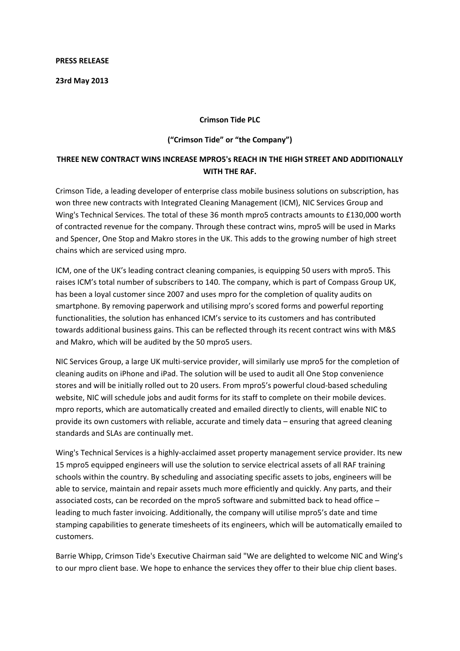## **PRESS RELEASE**

**23rd May 2013**

## **Crimson Tide PLC**

## **("Crimson Tide" or "the Company")**

## **THREE NEW CONTRACT WINS INCREASE MPRO5's REACH IN THE HIGH STREET AND ADDITIONALLY WITH THE RAF.**

Crimson Tide, a leading developer of enterprise class mobile business solutions on subscription, has won three new contracts with Integrated Cleaning Management (ICM), NIC Services Group and Wing's Technical Services. The total of these 36 month mpro5 contracts amounts to £130,000 worth of contracted revenue for the company. Through these contract wins, mpro5 will be used in Marks and Spencer, One Stop and Makro stores in the UK. This adds to the growing number of high street chains which are serviced using mpro.

ICM, one of the UK's leading contract cleaning companies, is equipping 50 users with mpro5. This raises ICM's total number of subscribers to 140. The company, which is part of Compass Group UK, has been a loyal customer since 2007 and uses mpro for the completion of quality audits on smartphone. By removing paperwork and utilising mpro's scored forms and powerful reporting functionalities, the solution has enhanced ICM's service to its customers and has contributed towards additional business gains. This can be reflected through its recent contract wins with M&S and Makro, which will be audited by the 50 mpro5 users.

NIC Services Group, a large UK multi‐service provider, will similarly use mpro5 for the completion of cleaning audits on iPhone and iPad. The solution will be used to audit all One Stop convenience stores and will be initially rolled out to 20 users. From mpro5's powerful cloud‐based scheduling website, NIC will schedule jobs and audit forms for its staff to complete on their mobile devices. mpro reports, which are automatically created and emailed directly to clients, will enable NIC to provide its own customers with reliable, accurate and timely data – ensuring that agreed cleaning standards and SLAs are continually met.

Wing's Technical Services is a highly‐acclaimed asset property management service provider. Its new 15 mpro5 equipped engineers will use the solution to service electrical assets of all RAF training schools within the country. By scheduling and associating specific assets to jobs, engineers will be able to service, maintain and repair assets much more efficiently and quickly. Any parts, and their associated costs, can be recorded on the mpro5 software and submitted back to head office – leading to much faster invoicing. Additionally, the company will utilise mpro5's date and time stamping capabilities to generate timesheets of its engineers, which will be automatically emailed to customers.

Barrie Whipp, Crimson Tide's Executive Chairman said "We are delighted to welcome NIC and Wing's to our mpro client base. We hope to enhance the services they offer to their blue chip client bases.